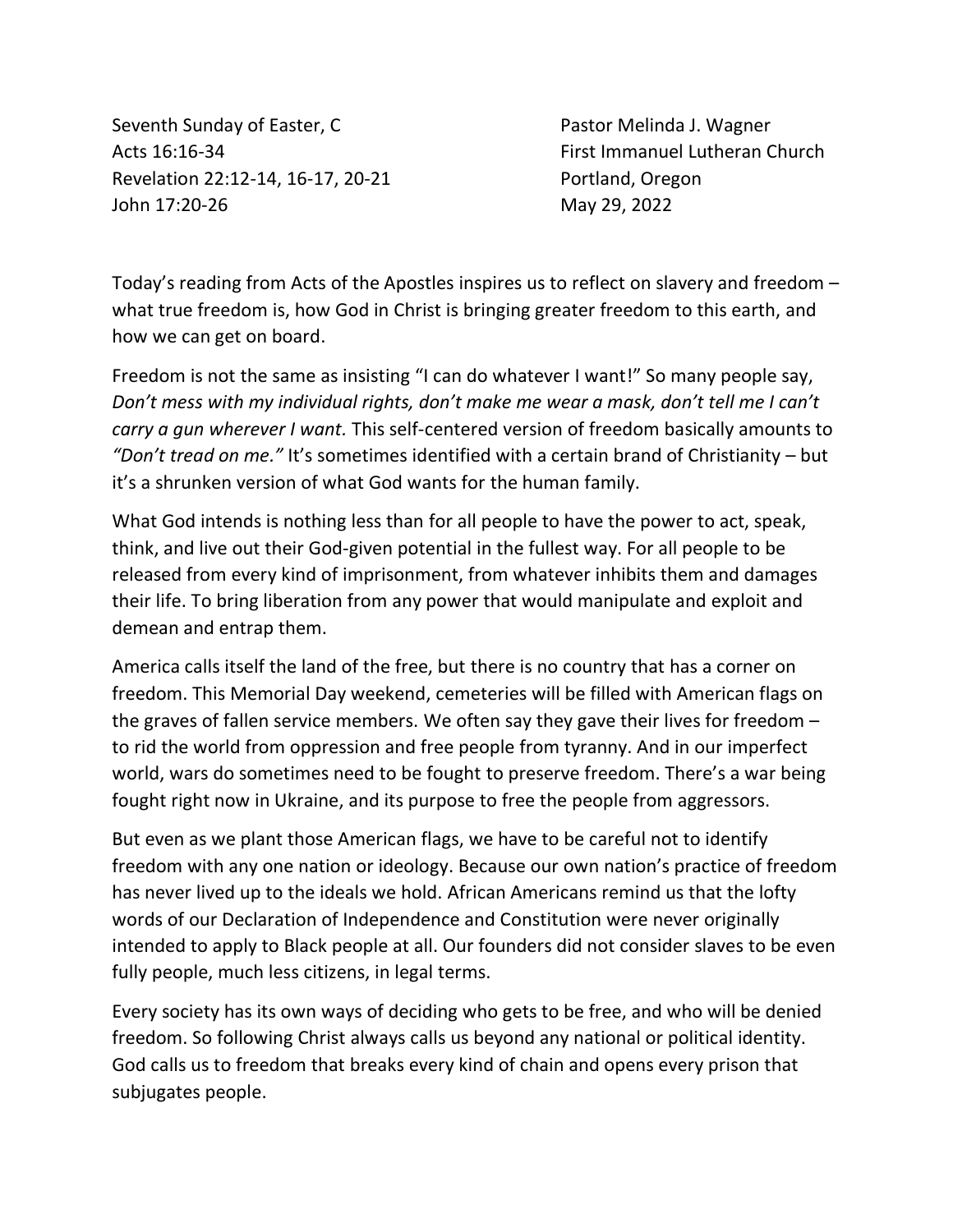Seventh Sunday of Easter, C **Pastor Melinda J. Wagner** Acts 16:16-34 **First Immanuel Lutheran Church** Revelation 22:12-14, 16-17, 20-21 Portland, Oregon John 17:20-26 May 29, 2022

Today's reading from Acts of the Apostles inspires us to reflect on slavery and freedom – what true freedom is, how God in Christ is bringing greater freedom to this earth, and how we can get on board.

Freedom is not the same as insisting "I can do whatever I want!" So many people say, *Don't mess with my individual rights, don't make me wear a mask, don't tell me I can't carry a gun wherever I want.* This self-centered version of freedom basically amounts to *"Don't tread on me."* It's sometimes identified with a certain brand of Christianity – but it's a shrunken version of what God wants for the human family.

What God intends is nothing less than for all people to have the power to act, speak, think, and live out their God-given potential in the fullest way. For all people to be released from every kind of imprisonment, from whatever inhibits them and damages their life. To bring liberation from any power that would manipulate and exploit and demean and entrap them.

America calls itself the land of the free, but there is no country that has a corner on freedom. This Memorial Day weekend, cemeteries will be filled with American flags on the graves of fallen service members. We often say they gave their lives for freedom – to rid the world from oppression and free people from tyranny. And in our imperfect world, wars do sometimes need to be fought to preserve freedom. There's a war being fought right now in Ukraine, and its purpose to free the people from aggressors.

But even as we plant those American flags, we have to be careful not to identify freedom with any one nation or ideology. Because our own nation's practice of freedom has never lived up to the ideals we hold. African Americans remind us that the lofty words of our Declaration of Independence and Constitution were never originally intended to apply to Black people at all. Our founders did not consider slaves to be even fully people, much less citizens, in legal terms.

Every society has its own ways of deciding who gets to be free, and who will be denied freedom. So following Christ always calls us beyond any national or political identity. God calls us to freedom that breaks every kind of chain and opens every prison that subjugates people.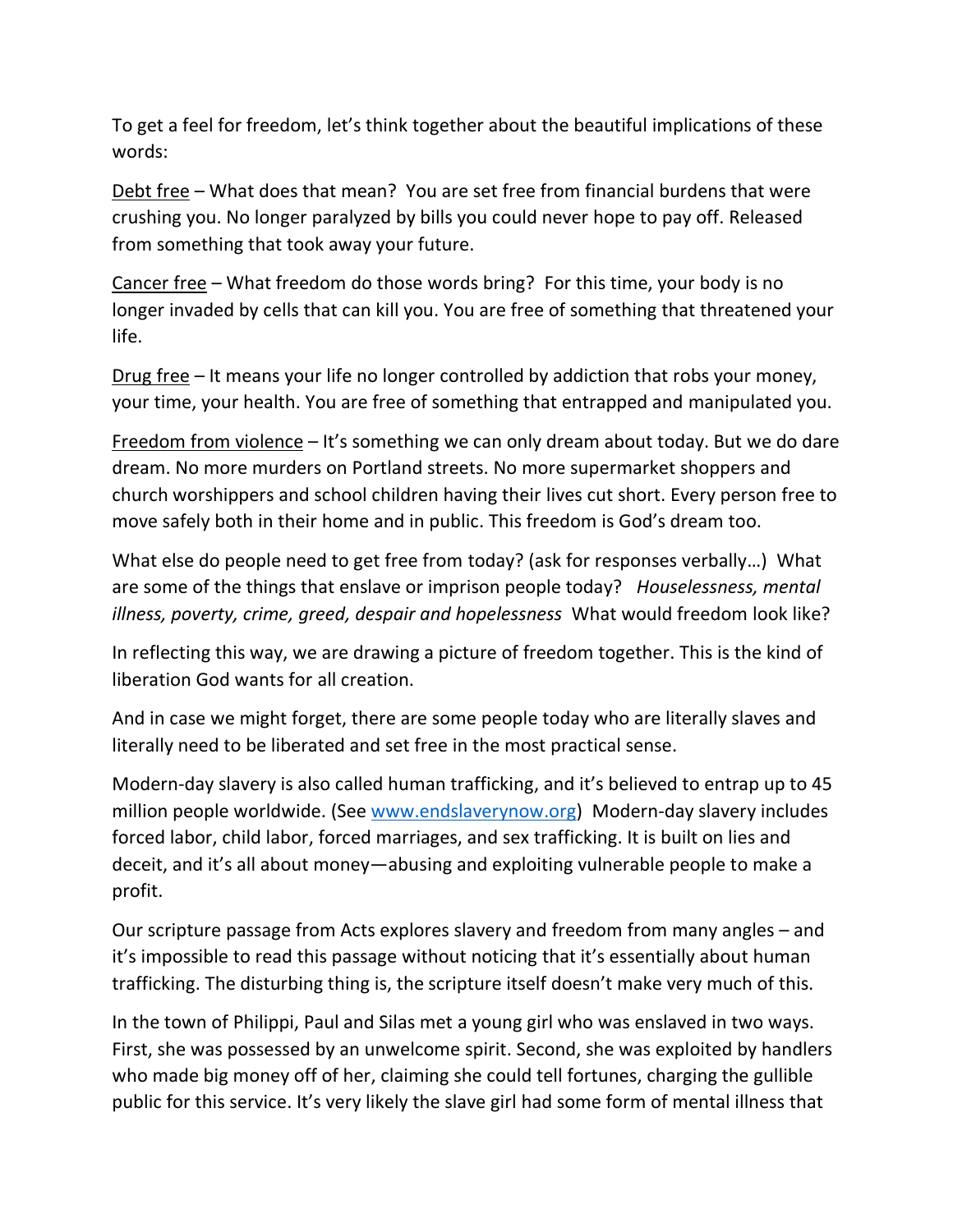To get a feel for freedom, let's think together about the beautiful implications of these words:

Debt free – What does that mean? You are set free from financial burdens that were crushing you. No longer paralyzed by bills you could never hope to pay off. Released from something that took away your future.

Cancer free – What freedom do those words bring? For this time, your body is no longer invaded by cells that can kill you. You are free of something that threatened your life.

Drug free – It means your life no longer controlled by addiction that robs your money, your time, your health. You are free of something that entrapped and manipulated you.

Freedom from violence – It's something we can only dream about today. But we do dare dream. No more murders on Portland streets. No more supermarket shoppers and church worshippers and school children having their lives cut short. Every person free to move safely both in their home and in public. This freedom is God's dream too.

What else do people need to get free from today? (ask for responses verbally…) What are some of the things that enslave or imprison people today? *Houselessness, mental illness, poverty, crime, greed, despair and hopelessness* What would freedom look like?

In reflecting this way, we are drawing a picture of freedom together. This is the kind of liberation God wants for all creation.

And in case we might forget, there are some people today who are literally slaves and literally need to be liberated and set free in the most practical sense.

Modern-day slavery is also called human trafficking, and it's believed to entrap up to 45 million people worldwide. (See [www.endslaverynow.org\)](http://www.endslaverynow.org/) Modern-day slavery includes forced labor, child labor, forced marriages, and sex trafficking. It is built on lies and deceit, and it's all about money—abusing and exploiting vulnerable people to make a profit.

Our scripture passage from Acts explores slavery and freedom from many angles – and it's impossible to read this passage without noticing that it's essentially about human trafficking. The disturbing thing is, the scripture itself doesn't make very much of this.

In the town of Philippi, Paul and Silas met a young girl who was enslaved in two ways. First, she was possessed by an unwelcome spirit. Second, she was exploited by handlers who made big money off of her, claiming she could tell fortunes, charging the gullible public for this service. It's very likely the slave girl had some form of mental illness that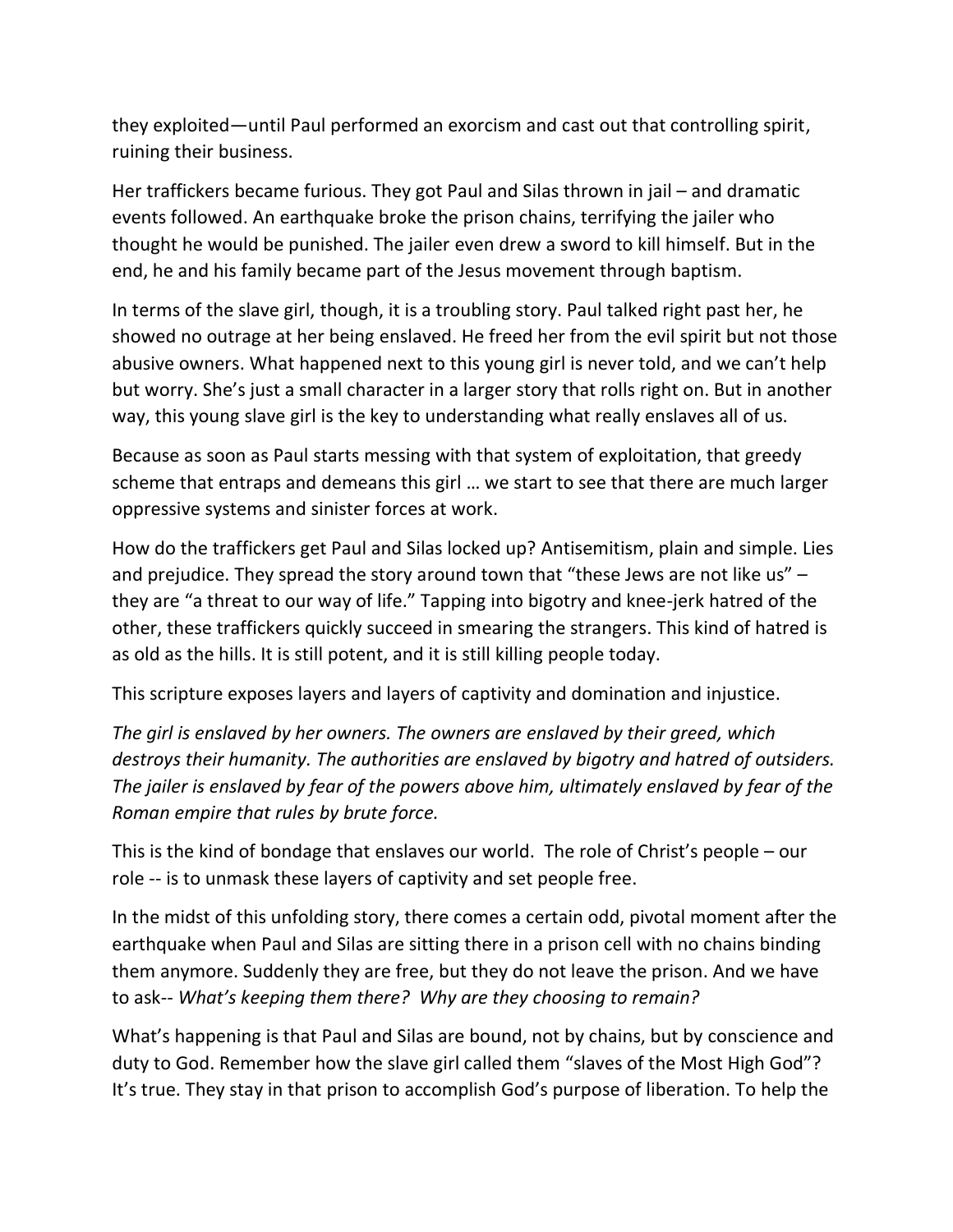they exploited—until Paul performed an exorcism and cast out that controlling spirit, ruining their business.

Her traffickers became furious. They got Paul and Silas thrown in jail – and dramatic events followed. An earthquake broke the prison chains, terrifying the jailer who thought he would be punished. The jailer even drew a sword to kill himself. But in the end, he and his family became part of the Jesus movement through baptism.

In terms of the slave girl, though, it is a troubling story. Paul talked right past her, he showed no outrage at her being enslaved. He freed her from the evil spirit but not those abusive owners. What happened next to this young girl is never told, and we can't help but worry. She's just a small character in a larger story that rolls right on. But in another way, this young slave girl is the key to understanding what really enslaves all of us.

Because as soon as Paul starts messing with that system of exploitation, that greedy scheme that entraps and demeans this girl … we start to see that there are much larger oppressive systems and sinister forces at work.

How do the traffickers get Paul and Silas locked up? Antisemitism, plain and simple. Lies and prejudice. They spread the story around town that "these Jews are not like us" – they are "a threat to our way of life." Tapping into bigotry and knee-jerk hatred of the other, these traffickers quickly succeed in smearing the strangers. This kind of hatred is as old as the hills. It is still potent, and it is still killing people today.

This scripture exposes layers and layers of captivity and domination and injustice.

*The girl is enslaved by her owners. The owners are enslaved by their greed, which destroys their humanity. The authorities are enslaved by bigotry and hatred of outsiders. The jailer is enslaved by fear of the powers above him, ultimately enslaved by fear of the Roman empire that rules by brute force.*

This is the kind of bondage that enslaves our world. The role of Christ's people – our role -- is to unmask these layers of captivity and set people free.

In the midst of this unfolding story, there comes a certain odd, pivotal moment after the earthquake when Paul and Silas are sitting there in a prison cell with no chains binding them anymore. Suddenly they are free, but they do not leave the prison. And we have to ask-- *What's keeping them there? Why are they choosing to remain?*

What's happening is that Paul and Silas are bound, not by chains, but by conscience and duty to God. Remember how the slave girl called them "slaves of the Most High God"? It's true. They stay in that prison to accomplish God's purpose of liberation. To help the